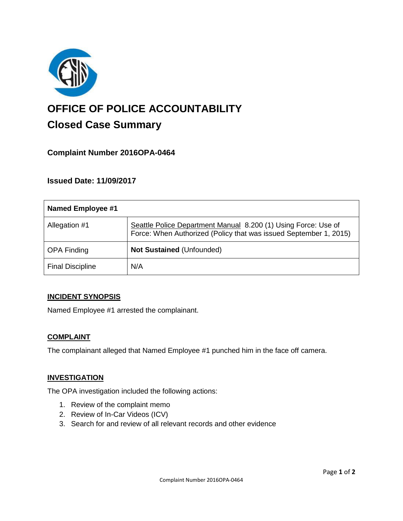

# **OFFICE OF POLICE ACCOUNTABILITY**

# **Closed Case Summary**

# **Complaint Number 2016OPA-0464**

# **Issued Date: 11/09/2017**

| Named Employee #1       |                                                                                                                                     |
|-------------------------|-------------------------------------------------------------------------------------------------------------------------------------|
| Allegation #1           | Seattle Police Department Manual 8.200 (1) Using Force: Use of<br>Force: When Authorized (Policy that was issued September 1, 2015) |
| <b>OPA Finding</b>      | <b>Not Sustained (Unfounded)</b>                                                                                                    |
| <b>Final Discipline</b> | N/A                                                                                                                                 |

# **INCIDENT SYNOPSIS**

Named Employee #1 arrested the complainant.

# **COMPLAINT**

The complainant alleged that Named Employee #1 punched him in the face off camera.

#### **INVESTIGATION**

The OPA investigation included the following actions:

- 1. Review of the complaint memo
- 2. Review of In-Car Videos (ICV)
- 3. Search for and review of all relevant records and other evidence